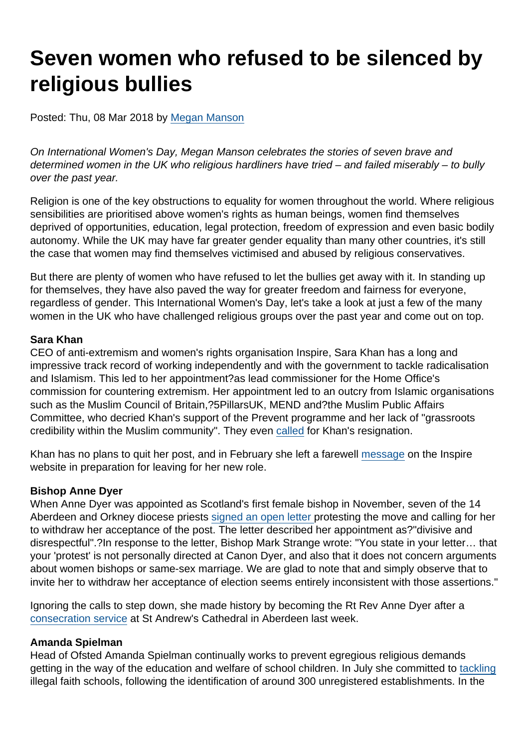# Seven women who refused to be silenced by religious bullies

Posted: Thu, 08 Mar 2018 by [Megan Manson](https://www.secularism.org.uk/opinion/authors/971)

On International Women's Day, Megan Manson celebrates the stories of seven brave and determined women in the UK who religious hardliners have tried – and failed miserably – to bully over the past year.

Religion is one of the key obstructions to equality for women throughout the world. Where religious sensibilities are prioritised above women's rights as human beings, women find themselves deprived of opportunities, education, legal protection, freedom of expression and even basic bodily autonomy. While the UK may have far greater gender equality than many other countries, it's still the case that women may find themselves victimised and abused by religious conservatives.

But there are plenty of women who have refused to let the bullies get away with it. In standing up for themselves, they have also paved the way for greater freedom and fairness for everyone, regardless of gender. This International Women's Day, let's take a look at just a few of the many women in the UK who have challenged religious groups over the past year and come out on top.

#### Sara Khan

CEO of anti-extremism and women's rights organisation Inspire, Sara Khan has a long and impressive track record of working independently and with the government to tackle radicalisation and Islamism. This led to her appointment?as lead commissioner for the Home Office's commission for countering extremism. Her appointment led to an outcry from Islamic organisations such as the Muslim Council of Britain,?5PillarsUK, MEND and?the Muslim Public Affairs Committee, who decried Khan's support of the Prevent programme and her lack of "grassroots credibility within the Muslim community". They even [called](http://www.bbc.co.uk/news/uk-politics-42807560) for Khan's resignation.

Khan has no plans to quit her post, and in February she left a farewell [message](https://wewillinspire.com/final-words-as-director-from-sara/) on the Inspire website in preparation for leaving for her new role.

#### Bishop Anne Dyer

When Anne Dyer was appointed as Scotland's first female bishop in November, seven of the 14 Aberdeen and Orkney diocese priests [signed an open letter p](https://www.theguardian.com/uk-news/2018/jan/09/anne-dyer-aberdeen-orkney-priests-threaten-quit-over-first-female-bishop)rotesting the move and calling for her to withdraw her acceptance of the post. The letter described her appointment as?"divisive and disrespectful".?In response to the letter, Bishop Mark Strange wrote: "You state in your letter… that your 'protest' is not personally directed at Canon Dyer, and also that it does not concern arguments about women bishops or same-sex marriage. We are glad to note that and simply observe that to invite her to withdraw her acceptance of election seems entirely inconsistent with those assertions."

Ignoring the calls to step down, she made history by becoming the Rt Rev Anne Dyer after a [consecration service](http://www.bbc.co.uk/news/uk-scotland-north-east-orkney-shetland-43242487) at St Andrew's Cathedral in Aberdeen last week.

#### Amanda Spielman

Head of Ofsted Amanda Spielman continually works to prevent egregious religious demands getting in the way of the education and welfare of school children. In July she committed to [tackling](https://www.secularism.org.uk/news/2017/10/nss-welcomes-ruling--islamic-schools-gender-segregation-unlawful) illegal faith schools, following the identification of around 300 unregistered establishments. In the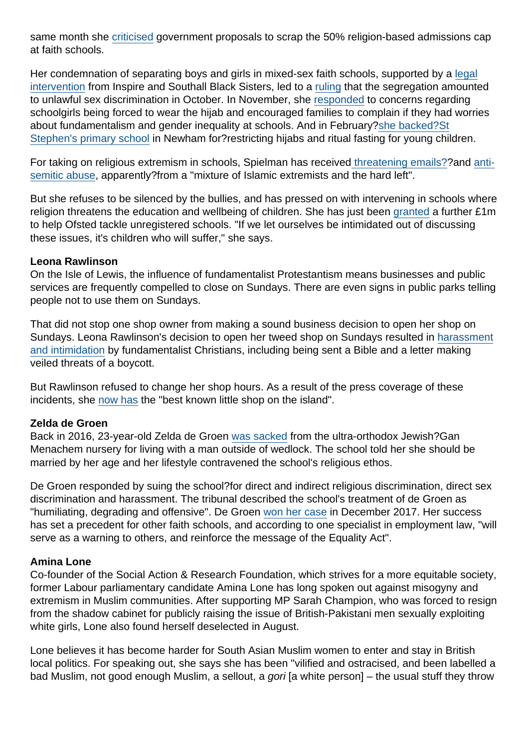same month she [criticised](https://www.secularism.org.uk/news/2017/07/100-percent-faith-based-admissions-leads-to-increased-levels-of-segregation-says-schools-inspectorate) government proposals to scrap the 50% religion-based admissions cap at faith schools.

Her condemnation of separating boys and girls in mixed-sex faith schools, supported by a [legal](https://wewillinspire.com/wp-content/uploads/2017/10/SBS-Inspire-Witness-Statement.pdf) [intervention](https://wewillinspire.com/wp-content/uploads/2017/10/SBS-Inspire-Witness-Statement.pdf) from Inspire and Southall Black Sisters, led to a [ruling](https://www.secularism.org.uk/news/2017/10/nss-welcomes-ruling--islamic-schools-gender-segregation-unlawful) that the segregation amounted to unlawful sex discrimination in October. In November, she [responded](https://www.secularism.org.uk/news/2017/11/ofsted-to-crack-down-on-schools-which-require-girls-to-wear-hijabs) to concerns regarding schoolgirls being forced to wear the hijab and encouraged families to complain if they had worries about fundamentalism and gender inequality at schools. And in February[?she backed?St](https://www.secularism.org.uk/news/2018/02/ofsted-head-school-leaders-should-promote-muscular-liberalism) [Stephen's primary school](https://www.secularism.org.uk/news/2018/02/ofsted-head-school-leaders-should-promote-muscular-liberalism) in Newham for?restricting hijabs and ritual fasting for young children.

For taking on religious extremism in schools, Spielman has receive[d threatening emails??](http://www.independent.co.uk/news/uk/home-news/ofsted-latest-amanda-spielman-chief-inspector-venomous-abuse-questioning-faith-schools-a8114036.html)and [anti](https://www.thetimes.co.uk/article/ofsted-chief-amanda-spielman-targeted-by-anti-semites-in-hijab-row-3zj7zvx8r)[semitic abuse](https://www.thetimes.co.uk/article/ofsted-chief-amanda-spielman-targeted-by-anti-semites-in-hijab-row-3zj7zvx8r), apparently?from a "mixture of Islamic extremists and the hard left".

But she refuses to be silenced by the bullies, and has pressed on with intervening in schools where religion threatens the education and wellbeing of children. She has just been [granted](https://schoolsweek.co.uk/ofsteds-illegal-schools-taskforce-to-get-another-1m/) a further £1m to help Ofsted tackle unregistered schools. "If we let ourselves be intimidated out of discussing these issues, it's children who will suffer," she says.

#### Leona Rawlinson

On the Isle of Lewis, the influence of fundamentalist Protestantism means businesses and public services are frequently compelled to close on Sundays. There are even signs in public parks telling people not to use them on Sundays.

That did not stop one shop owner from making a sound business decision to open her shop on Sundays. Leona Rawlinson's decision to open her tweed shop on Sundays resulted in [harassment](https://www.secularism.org.uk/news/2017/11/stornoway-shop-owner-harassed-by-sabbatarians) [and intimidation](https://www.secularism.org.uk/news/2017/11/stornoway-shop-owner-harassed-by-sabbatarians) by fundamentalist Christians, including being sent a Bible and a letter making veiled threats of a boycott.

But Rawlinson refused to change her shop hours. As a result of the press coverage of these incidents, she [now has](https://www.secularism.org.uk/opinion/2017/11/our-business-was-harassed-by-christian-fundamentalists--now-its-the-best-known-in-lewis) the "best known little shop on the island".

#### Zelda de Groen

Back in 2016, 23-year-old Zelda de Groen [was sacked](http://www.dailymail.co.uk/news/article-4946126/Jewish-nursery-sack-teacher-living-sin.html) from the ultra-orthodox Jewish?Gan Menachem nursery for living with a man outside of wedlock. The school told her she should be married by her age and her lifestyle contravened the school's religious ethos.

De Groen responded by suing the school? for direct and indirect religious discrimination, direct sex discrimination and harassment. The tribunal described the school's treatment of de Groen as "humiliating, degrading and offensive". De Groen [won her case](https://www.telegraph.co.uk/education/2017/12/04/jewish-teacher-wins-tribunal-sacked-living-boyfriend/) in December 2017. Her success has set a precedent for other faith schools, and according to one specialist in employment law, "will serve as a warning to others, and reinforce the message of the Equality Act".

#### Amina Lone

Co-founder of the Social Action & Research Foundation, which strives for a more equitable society, former Labour parliamentary candidate Amina Lone has long spoken out against misogyny and extremism in Muslim communities. After supporting MP Sarah Champion, who was forced to resign from the shadow cabinet for publicly raising the issue of British-Pakistani men sexually exploiting white girls, Lone also found herself deselected in August.

Lone believes it has become harder for South Asian Muslim women to enter and stay in British local politics. For speaking out, she says she has been "vilified and ostracised, and been labelled a bad Muslim, not good enough Muslim, a sellout, a gori [a white person] – the usual stuff they throw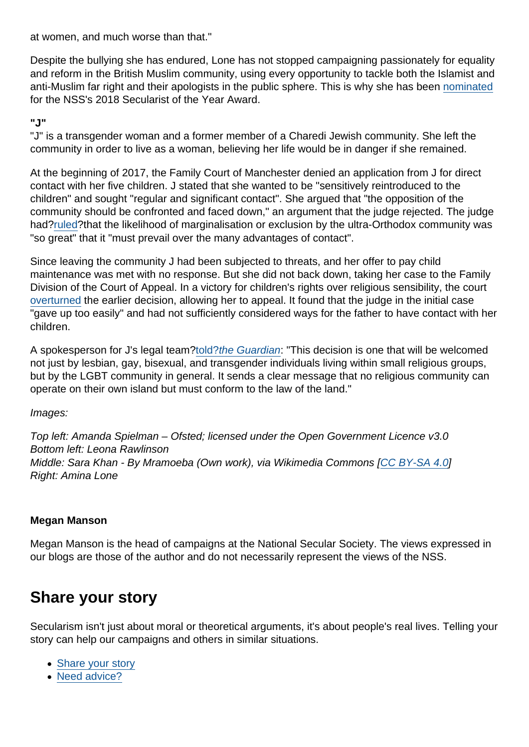at women, and much worse than that."

Despite the bullying she has endured, Lone has not stopped campaigning passionately for equality and reform in the British Muslim community, using every opportunity to tackle both the Islamist and anti-Muslim far right and their apologists in the public sphere. This is why she has been [nominated](https://www.secularism.org.uk/news/2018/02/nss-announces-shortlist-for-secularist-of-the-year-2018) for the NSS's 2018 Secularist of the Year Award.

"J"

"J" is a transgender woman and a former member of a Charedi Jewish community. She left the community in order to live as a woman, believing her life would be in danger if she remained.

At the beginning of 2017, the Family Court of Manchester denied an application from J for direct contact with her five children. J stated that she wanted to be "sensitively reintroduced to the children" and sought "regular and significant contact". She argued that "the opposition of the community should be confronted and faced down," an argument that the judge rejected. The judge had?[ruled](https://www.secularism.org.uk/news/2017/01/children-lose-contact-with-transgender-parent-because-orthodox-community-will-ostracise-them)?that the likelihood of marginalisation or exclusion by the ultra-Orthodox community was "so great" that it "must prevail over the many advantages of contact".

Since leaving the community J had been subjected to threats, and her offer to pay child maintenance was met with no response. But she did not back down, taking her case to the Family Division of the Court of Appeal. In a victory for children's rights over religious sensibility, the court [overturned](https://www.secularism.org.uk/news/2017/12/childrens-rights-paramount-as-trans-parent-gets-visitation-appeal) the earlier decision, allowing her to appeal. It found that the judge in the initial case "gave up too easily" and had not sufficiently considered ways for the father to have contact with her children.

A spokesperson for J's legal team[?told?the Guardian:](https://www.theguardian.com/law/2017/dec/20/high-court-custody-case-transgender-ultra-orthodox-jewish-woman) "This decision is one that will be welcomed not just by lesbian, gay, bisexual, and transgender individuals living within small religious groups, but by the LGBT community in general. It sends a clear message that no religious community can operate on their own island but must conform to the law of the land."

Images:

Top left: Amanda Spielman – Ofsted; licensed under the Open Government Licence v3.0 Bottom left: Leona Rawlinson Middle: Sara Khan - By Mramoeba (Own work), via Wikimedia Commons [\[CC BY-SA 4.0\]](https://creativecommons.org/licenses/by-sa/4.0/legalcode) Right: Amina Lone

### Megan Manson

Megan Manson is the head of campaigns at the National Secular Society. The views expressed in our blogs are those of the author and do not necessarily represent the views of the NSS.

## Share your story

Secularism isn't just about moral or theoretical arguments, it's about people's real lives. Telling your story can help our campaigns and others in similar situations.

- [Share your story](https://www.secularism.org.uk/stories.html)
- [Need advice?](https://www.secularism.org.uk/advice.html)